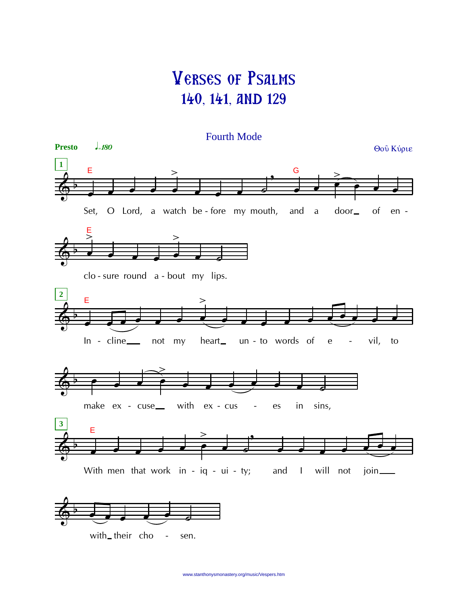## Verses of Psalms 140, 141, and 129

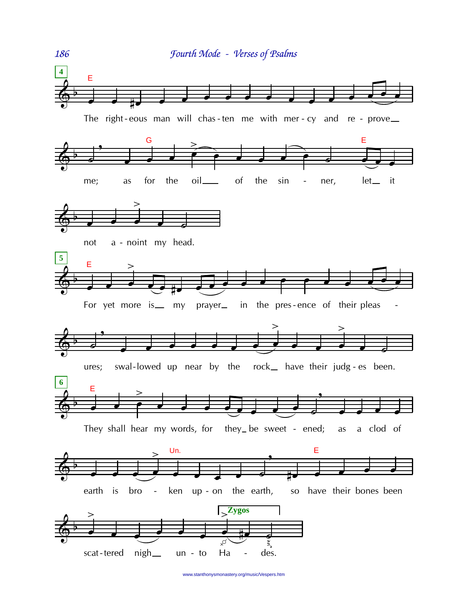

www.stanthonysmonastery.org/music/Vespers.htm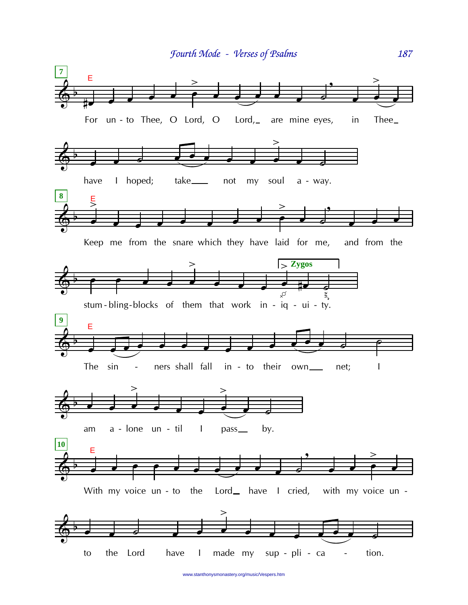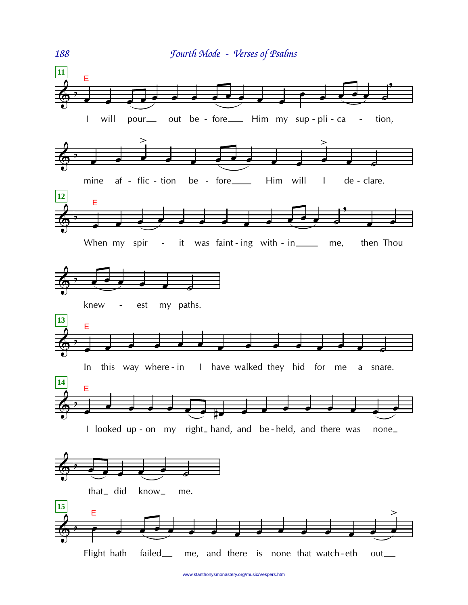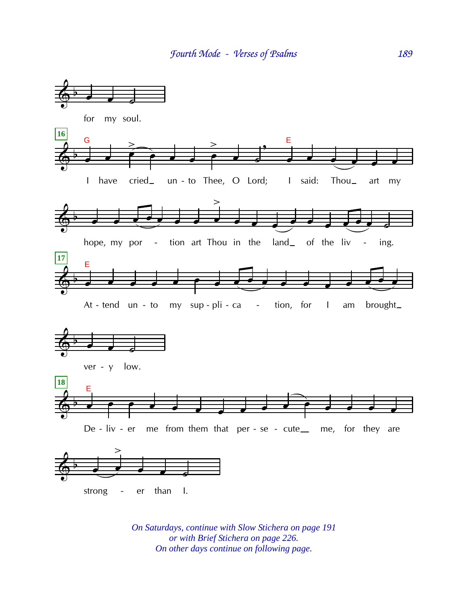

*On Saturdays, continue with Slow Stichera on page 191 or with Brief Stichera on page 226. On other days continue on following page.*